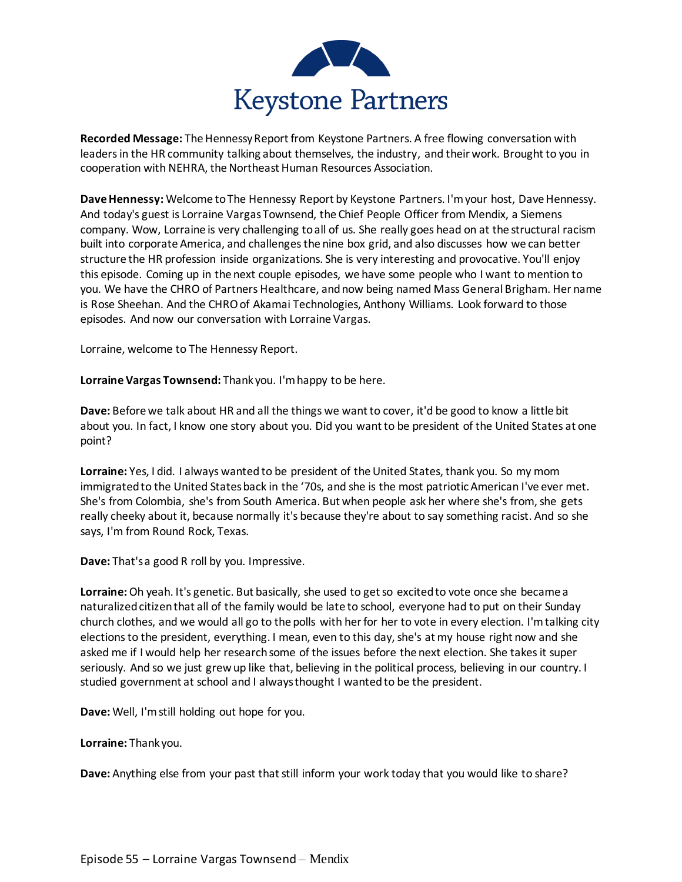

**Recorded Message:** The Hennessy Report from Keystone Partners. A free flowing conversation with leaders in the HR community talking about themselves, the industry, and their work. Brought to you in cooperation with NEHRA, the Northeast Human Resources Association.

**Dave Hennessy:** Welcome to The Hennessy Report by Keystone Partners. I'm your host, Dave Hennessy. And today's guest is Lorraine Vargas Townsend, the Chief People Officer from Mendix, a Siemens company. Wow, Lorraine is very challenging to all of us. She really goes head on at the structural racism built into corporate America, and challenges the nine box grid, and also discusses how we can better structure the HR profession inside organizations. She is very interesting and provocative. You'll enjoy this episode. Coming up in the next couple episodes, we have some people who I want to mention to you. We have the CHRO of Partners Healthcare, and now being named Mass General Brigham. Her name is Rose Sheehan. And the CHRO of Akamai Technologies, Anthony Williams. Look forward to those episodes. And now our conversation with Lorraine Vargas.

Lorraine, welcome to The Hennessy Report.

**Lorraine Vargas Townsend:** Thank you. I'm happy to be here.

**Dave:** Before we talk about HR and all the things we want to cover, it'd be good to know a little bit about you. In fact, I know one story about you. Did you want to be president of the United States at one point?

**Lorraine:** Yes, I did. I always wanted to be president of the United States, thank you. So my mom immigrated to the United States back in the '70s, and she is the most patriotic American I've ever met. She's from Colombia, she's from South America. But when people ask her where she's from, she gets really cheeky about it, because normally it's because they're about to say something racist. And so she says, I'm from Round Rock, Texas.

**Dave:** That's a good R roll by you. Impressive.

**Lorraine:**Oh yeah. It's genetic. But basically, she used to get so excited to vote once she became a naturalized citizen that all of the family would be late to school, everyone had to put on their Sunday church clothes, and we would all go to the polls with her for her to vote in every election. I'm talking city elections to the president, everything. I mean, even to this day, she's at my house right now and she asked me if I would help her research some of the issues before the next election. She takes it super seriously. And so we just grew up like that, believing in the political process, believing in our country. I studied government at school and I always thought I wanted to be the president.

**Dave:** Well, I'm still holding out hope for you.

**Lorraine:** Thank you.

**Dave:** Anything else from your past that still inform your work today that you would like to share?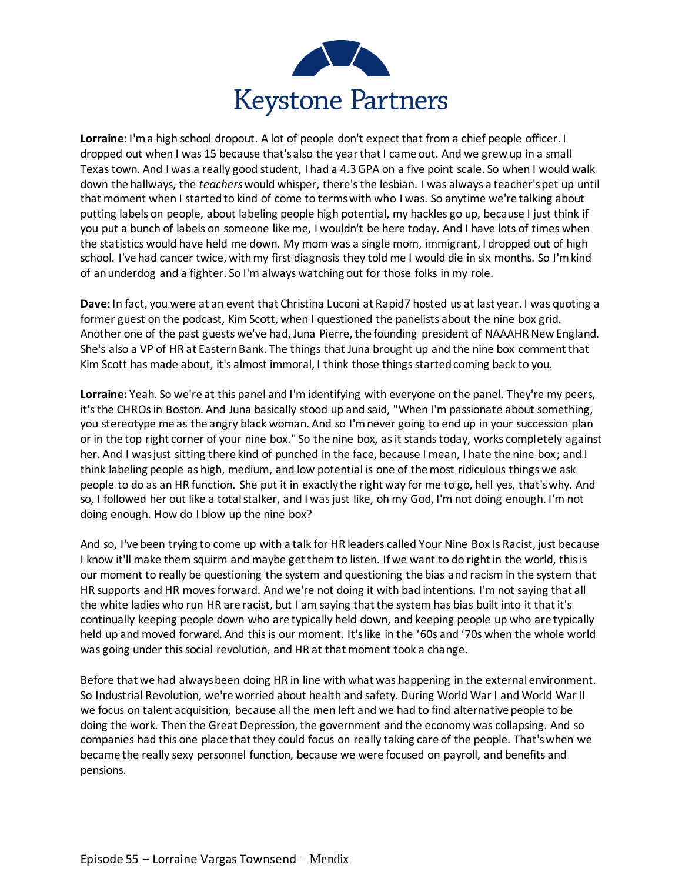

**Lorraine:** I'm a high school dropout. A lot of people don't expect that from a chief people officer. I dropped out when I was 15 because that's also the year that I came out. And we grew up in a small Texas town. And I was a really good student, I had a 4.3 GPA on a five point scale. So when I would walk down the hallways, the *teachers*would whisper, there's the lesbian. I was always a teacher's pet up until that moment when I started to kind of come to terms with who I was. So anytime we're talking about putting labels on people, about labeling people high potential, my hackles go up, because I just think if you put a bunch of labels on someone like me, I wouldn't be here today. And I have lots of times when the statistics would have held me down. My mom was a single mom, immigrant, I dropped out of high school. I've had cancer twice, with my first diagnosis they told me I would die in six months. So I'm kind of an underdog and a fighter. So I'm always watching out for those folks in my role.

**Dave:** In fact, you were at an event that Christina Luconi at Rapid7 hosted us at last year. I was quoting a former guest on the podcast, Kim Scott, when I questioned the panelists about the nine box grid. Another one of the past guests we've had, Juna Pierre, the founding president of NAAAHR New England. She's also a VP of HR at Eastern Bank. The things that Juna brought up and the nine box comment that Kim Scott has made about, it's almost immoral, I think those things started coming back to you.

**Lorraine:** Yeah. So we're at this panel and I'm identifying with everyone on the panel. They're my peers, it's the CHROs in Boston. And Juna basically stood up and said, "When I'm passionate about something, you stereotype me as the angry black woman. And so I'm never going to end up in your succession plan or in the top right corner of your nine box." So the nine box, as it stands today, works completely against her. And I was just sitting there kind of punched in the face, because I mean, I hate the nine box; and I think labeling people as high, medium, and low potential is one of the most ridiculous things we ask people to do as an HR function. She put it in exactly the right way for me to go, hell yes, that's why. And so, I followed her out like a total stalker, and I was just like, oh my God, I'm not doing enough. I'm not doing enough. How do I blow up the nine box?

And so, I've been trying to come up with a talk for HR leaders called Your Nine Box Is Racist, just because I know it'll make them squirm and maybe get them to listen. If we want to do right in the world, this is our moment to really be questioning the system and questioning the bias and racism in the system that HR supports and HR moves forward. And we're not doing it with bad intentions. I'm not saying that all the white ladies who run HR are racist, but I am saying that the system has bias built into it that it's continually keeping people down who are typically held down, and keeping people up who are typically held up and moved forward. And this is our moment. It's like in the '60s and '70s when the whole world was going under this social revolution, and HR at that moment took a change.

Before that we had always been doing HR in line with what was happening in the external environment. So Industrial Revolution, we're worried about health and safety. During World War I and World War II we focus on talent acquisition, because all the men left and we had to find alternative people to be doing the work. Then the Great Depression, the government and the economy was collapsing. And so companies had this one place that they could focus on really taking care of the people. That's when we became the really sexy personnel function, because we were focused on payroll, and benefits and pensions.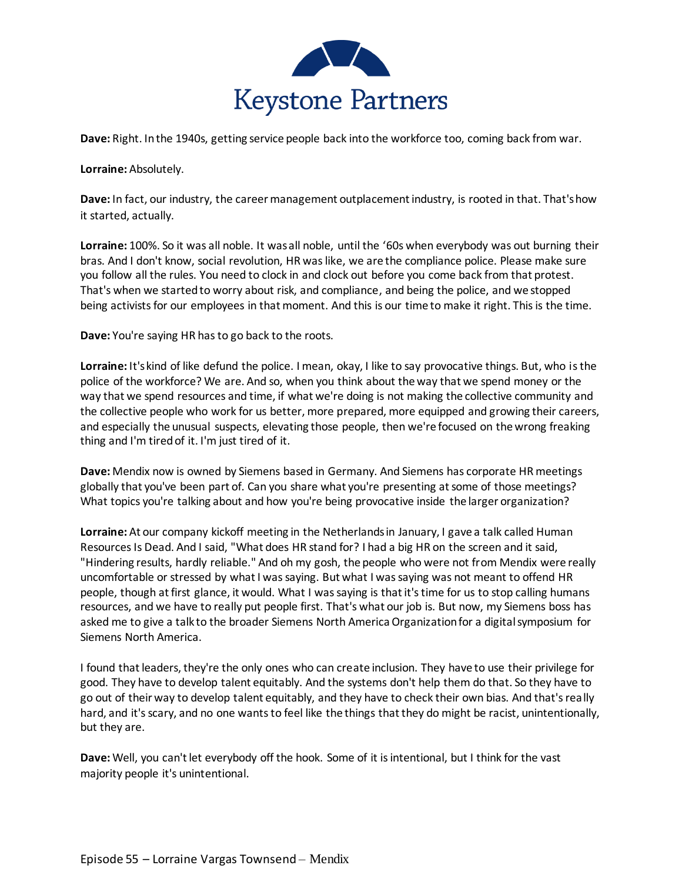

**Dave:** Right. In the 1940s, getting service people back into the workforce too, coming back from war.

**Lorraine:** Absolutely.

**Dave:** In fact, our industry, the career management outplacement industry, is rooted in that. That's how it started, actually.

**Lorraine:** 100%. So it was all noble. It was all noble, until the '60s when everybody was out burning their bras. And I don't know, social revolution, HR was like, we are the compliance police. Please make sure you follow all the rules. You need to clock in and clock out before you come back from that protest. That's when we started to worry about risk, and compliance, and being the police, and we stopped being activists for our employees in that moment. And this is our time to make it right. This is the time.

**Dave:** You're saying HR has to go back to the roots.

**Lorraine:** It's kind of like defund the police. I mean, okay, I like to say provocative things. But, who is the police of the workforce? We are. And so, when you think about the way that we spend money or the way that we spend resources and time, if what we're doing is not making the collective community and the collective people who work for us better, more prepared, more equipped and growing their careers, and especially the unusual suspects, elevating those people, then we're focused on the wrong freaking thing and I'm tired of it. I'm just tired of it.

**Dave:** Mendix now is owned by Siemens based in Germany. And Siemens has corporate HR meetings globally that you've been part of. Can you share what you're presenting at some of those meetings? What topics you're talking about and how you're being provocative inside the larger organization?

**Lorraine:** At our company kickoff meeting in the Netherlands in January, I gave a talk called Human Resources Is Dead. And I said, "What does HR stand for? I had a big HR on the screen and it said, "Hindering results, hardly reliable." And oh my gosh, the people who were not from Mendix were really uncomfortable or stressed by what I was saying. But what I was saying was not meant to offend HR people, though at first glance, it would. What I was saying is that it's time for us to stop calling humans resources, and we have to really put people first. That's what our job is. But now, my Siemens boss has asked me to give a talk to the broader Siemens North America Organization for a digital symposium for Siemens North America.

I found that leaders, they're the only ones who can create inclusion. They have to use their privilege for good. They have to develop talent equitably. And the systems don't help them do that. So they have to go out of their way to develop talent equitably, and they have to check their own bias. And that's really hard, and it's scary, and no one wants to feel like the things that they do might be racist, unintentionally, but they are.

**Dave:** Well, you can't let everybody off the hook. Some of it is intentional, but I think for the vast majority people it's unintentional.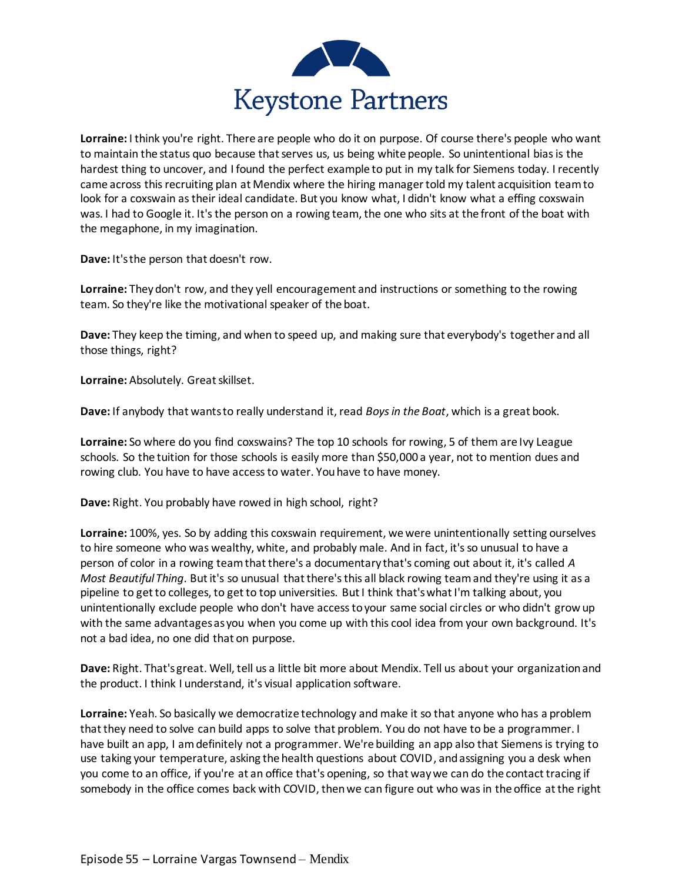

**Lorraine:** I think you're right. There are people who do it on purpose. Of course there's people who want to maintain the status quo because that serves us, us being white people. So unintentional bias is the hardest thing to uncover, and I found the perfect example to put in my talk for Siemens today. I recently came across this recruiting plan at Mendix where the hiring manager told my talent acquisition team to look for a coxswain as their ideal candidate. But you know what, I didn't know what a effing coxswain was. I had to Google it. It's the person on a rowing team, the one who sits at the front of the boat with the megaphone, in my imagination.

**Dave:** It's the person that doesn't row.

**Lorraine:** They don't row, and they yell encouragement and instructions or something to the rowing team. So they're like the motivational speaker of the boat.

**Dave:** They keep the timing, and when to speed up, and making sure that everybody's together and all those things, right?

**Lorraine:** Absolutely. Great skillset.

**Dave:** If anybody that wants to really understand it, read *Boys in the Boat*, which is a great book.

**Lorraine:** So where do you find coxswains? The top 10 schools for rowing, 5 of them are Ivy League schools. So the tuition for those schools is easily more than \$50,000 a year, not to mention dues and rowing club. You have to have access to water. You have to have money.

**Dave:** Right. You probably have rowed in high school, right?

**Lorraine:** 100%, yes. So by adding this coxswain requirement, we were unintentionally setting ourselves to hire someone who was wealthy, white, and probably male. And in fact, it's so unusual to have a person of color in a rowing team that there's a documentary that's coming out about it, it's called *A Most Beautiful Thing*. But it's so unusual that there's this all black rowing team and they're using it as a pipeline to get to colleges, to get to top universities. But I think that's what I'm talking about, you unintentionally exclude people who don't have access to your same social circles or who didn't grow up with the same advantages as you when you come up with this cool idea from your own background. It's not a bad idea, no one did that on purpose.

**Dave:** Right. That's great. Well, tell us a little bit more about Mendix. Tell us about your organization and the product. I think I understand, it's visual application software.

**Lorraine:** Yeah. So basically we democratize technology and make it so that anyone who has a problem that they need to solve can build apps to solve that problem. You do not have to be a programmer. I have built an app, I am definitely not a programmer. We're building an app also that Siemens is trying to use taking your temperature, asking the health questions about COVID, and assigning you a desk when you come to an office, if you're at an office that's opening, so that way we can do the contact tracing if somebody in the office comes back with COVID, then we can figure out who was in the office at the right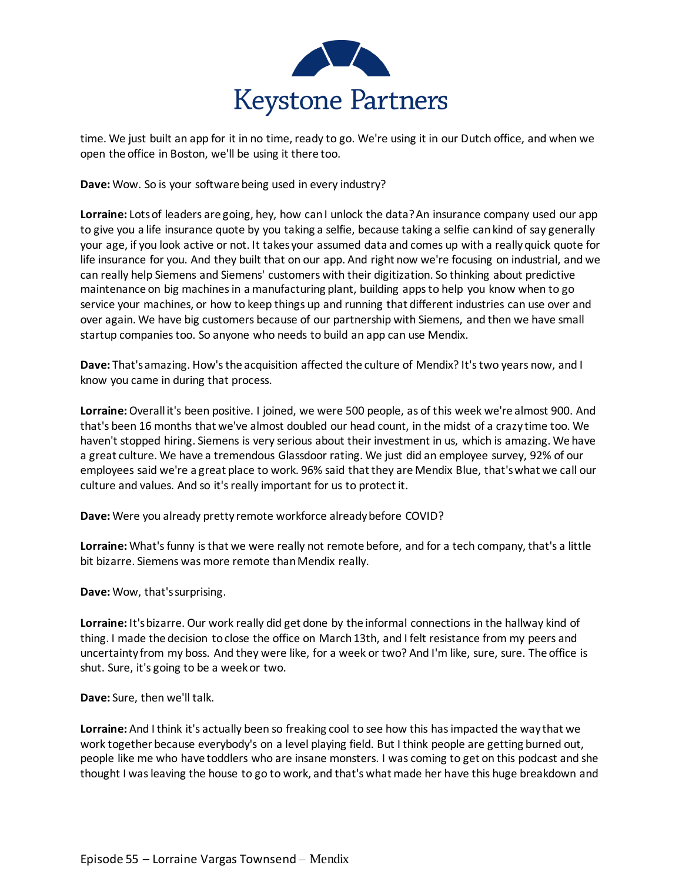

time. We just built an app for it in no time, ready to go. We're using it in our Dutch office, and when we open the office in Boston, we'll be using it there too.

**Dave:** Wow. So is your software being used in every industry?

**Lorraine:** Lots of leaders are going, hey, how can I unlock the data? An insurance company used our app to give you a life insurance quote by you taking a selfie, because taking a selfie can kind of say generally your age, if you look active or not. It takes your assumed data and comes up with a really quick quote for life insurance for you. And they built that on our app. And right now we're focusing on industrial, and we can really help Siemens and Siemens' customers with their digitization. So thinking about predictive maintenance on big machines in a manufacturing plant, building apps to help you know when to go service your machines, or how to keep things up and running that different industries can use over and over again. We have big customers because of our partnership with Siemens, and then we have small startup companies too. So anyone who needs to build an app can use Mendix.

**Dave:** That's amazing. How's the acquisition affected the culture of Mendix? It's two years now, and I know you came in during that process.

**Lorraine:**Overall it's been positive. I joined, we were 500 people, as of this week we're almost 900. And that's been 16 months that we've almost doubled our head count, in the midst of a crazy time too. We haven't stopped hiring. Siemens is very serious about their investment in us, which is amazing. We have a great culture. We have a tremendous Glassdoor rating. We just did an employee survey, 92% of our employees said we're a great place to work. 96% said that they are Mendix Blue, that's what we call our culture and values. And so it's really important for us to protect it.

**Dave:** Were you already pretty remote workforce already before COVID?

**Lorraine:** What's funny is that we were really not remote before, and for a tech company, that's a little bit bizarre. Siemens was more remote than Mendix really.

**Dave:** Wow, that's surprising.

**Lorraine:** It's bizarre. Our work really did get done by the informal connections in the hallway kind of thing. I made the decision to close the office on March 13th, and I felt resistance from my peers and uncertainty from my boss. And they were like, for a week or two? And I'm like, sure, sure. The office is shut. Sure, it's going to be a week or two.

**Dave:** Sure, then we'll talk.

**Lorraine:** And I think it's actually been so freaking cool to see how this has impacted the way that we work together because everybody's on a level playing field. But I think people are getting burned out, people like me who have toddlers who are insane monsters. I was coming to get on this podcast and she thought I was leaving the house to go to work, and that's what made her have this huge breakdown and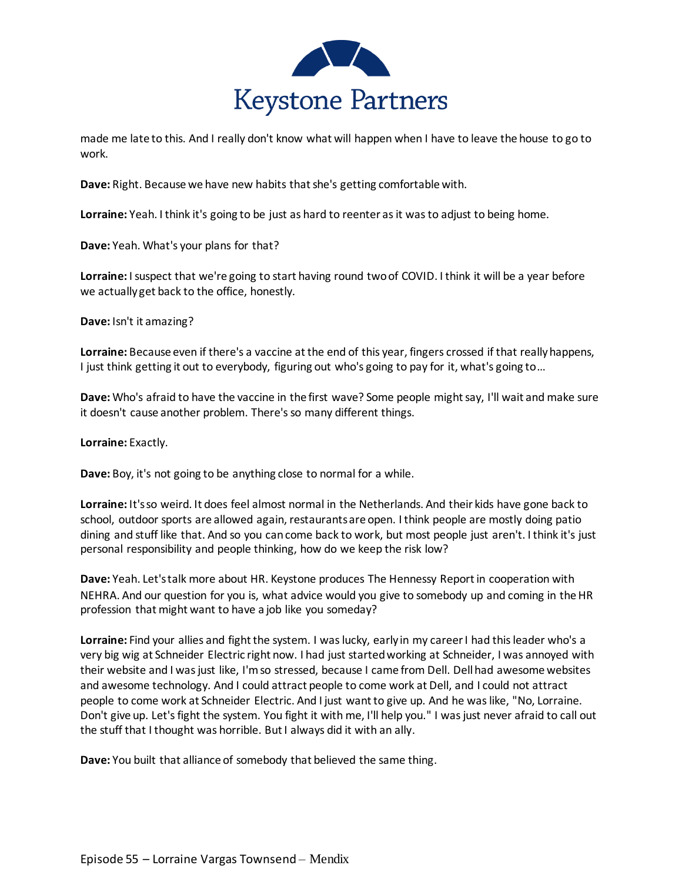

made me late to this. And I really don't know what will happen when I have to leave the house to go to work.

**Dave:** Right. Because we have new habits that she's getting comfortable with.

**Lorraine:** Yeah. I think it's going to be just as hard to reenter as it was to adjust to being home.

**Dave:** Yeah. What's your plans for that?

**Lorraine:** I suspect that we're going to start having round two of COVID. I think it will be a year before we actually get back to the office, honestly.

**Dave:** Isn't it amazing?

**Lorraine:** Because even if there's a vaccine at the end of this year, fingers crossed if that really happens, I just think getting it out to everybody, figuring out who's going to pay for it, what's going to…

**Dave:** Who's afraid to have the vaccine in the first wave? Some people might say, I'll wait and make sure it doesn't cause another problem. There's so many different things.

**Lorraine:** Exactly.

**Dave:** Boy, it's not going to be anything close to normal for a while.

**Lorraine:** It's so weird. It does feel almost normal in the Netherlands. And their kids have gone back to school, outdoor sports are allowed again, restaurants are open. I think people are mostly doing patio dining and stuff like that. And so you can come back to work, but most people just aren't. I think it's just personal responsibility and people thinking, how do we keep the risk low?

**Dave:** Yeah. Let's talk more about HR. Keystone produces The Hennessy Report in cooperation with NEHRA. And our question for you is, what advice would you give to somebody up and coming in the HR profession that might want to have a job like you someday?

**Lorraine:** Find your allies and fight the system. I was lucky, early in my career I had this leader who's a very big wig at Schneider Electric right now. I had just started working at Schneider, I was annoyed with their website and I was just like, I'm so stressed, because I came from Dell. Dell had awesome websites and awesome technology. And I could attract people to come work at Dell, and I could not attract people to come work at Schneider Electric. And I just want to give up. And he was like, "No, Lorraine. Don't give up. Let's fight the system. You fight it with me, I'll help you." I was just never afraid to call out the stuff that I thought was horrible. But I always did it with an ally.

**Dave:** You built that alliance of somebody that believed the same thing.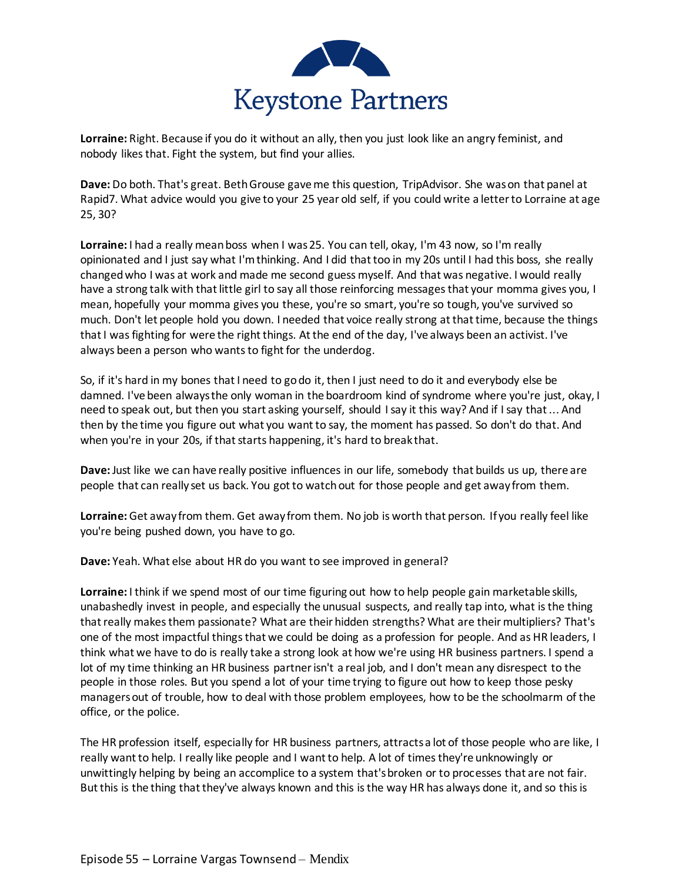

**Lorraine:** Right. Because if you do it without an ally, then you just look like an angry feminist, and nobody likes that. Fight the system, but find your allies.

**Dave:** Do both. That's great. Beth Grouse gave me this question, TripAdvisor. She was on that panel at Rapid7. What advice would you give to your 25 year old self, if you could write a letter to Lorraine at age 25, 30?

**Lorraine:** I had a really mean boss when I was 25. You can tell, okay, I'm 43 now, so I'm really opinionated and I just say what I'm thinking. And I did that too in my 20s until I had this boss, she really changed who I was at work and made me second guess myself. And that was negative. I would really have a strong talk with that little girl to say all those reinforcing messages that your momma gives you, I mean, hopefully your momma gives you these, you're so smart, you're so tough, you've survived so much. Don't let people hold you down. I needed that voice really strong at that time, because the things that I was fighting for were the right things. At the end of the day, I've always been an activist. I've always been a person who wants to fight for the underdog.

So, if it's hard in my bones that I need to go do it, then I just need to do it and everybody else be damned. I've been always the only woman in the boardroom kind of syndrome where you're just, okay, I need to speak out, but then you start asking yourself, should I say it this way? And if I say that ... And then by the time you figure out what you want to say, the moment has passed. So don't do that. And when you're in your 20s, if that starts happening, it's hard to break that.

**Dave:** Just like we can have really positive influences in our life, somebody that builds us up, there are people that can really set us back. You got to watch out for those people and get away from them.

**Lorraine:** Get away from them. Get away from them. No job is worth that person. If you really feel like you're being pushed down, you have to go.

**Dave:** Yeah. What else about HR do you want to see improved in general?

**Lorraine:** I think if we spend most of our time figuring out how to help people gain marketable skills, unabashedly invest in people, and especially the unusual suspects, and really tap into, what is the thing that really makes them passionate? What are their hidden strengths? What are their multipliers? That's one of the most impactful things that we could be doing as a profession for people. And as HR leaders, I think what we have to do is really take a strong look at how we're using HR business partners. I spend a lot of my time thinking an HR business partner isn't a real job, and I don't mean any disrespect to the people in those roles. But you spend a lot of your time trying to figure out how to keep those pesky managers out of trouble, how to deal with those problem employees, how to be the schoolmarm of the office, or the police.

The HR profession itself, especially for HR business partners, attracts a lot of those people who are like, I really want to help. I really like people and I want to help. A lot of times they're unknowingly or unwittingly helping by being an accomplice to a system that's broken or to processes that are not fair. But this is the thing that they've always known and this is the way HR has always done it, and so this is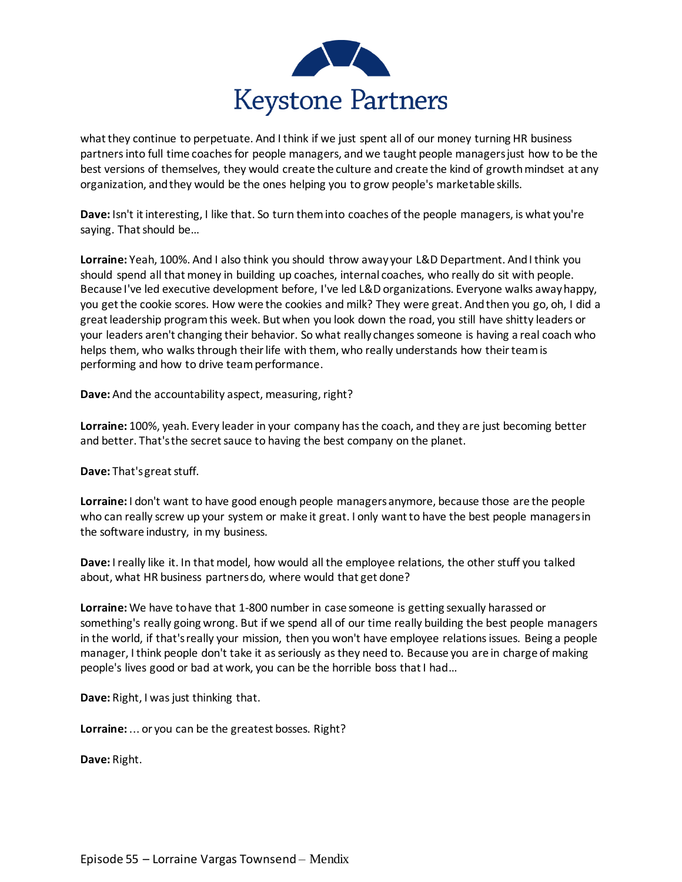

what they continue to perpetuate. And I think if we just spent all of our money turning HR business partners into full time coaches for people managers, and we taught people managers just how to be the best versions of themselves, they would create the culture and create the kind of growth mindset at any organization, and they would be the ones helping you to grow people's marketable skills.

**Dave:** Isn't it interesting, I like that. So turn them into coaches of the people managers, is what you're saying. That should be…

**Lorraine:** Yeah, 100%. And I also think you should throw away your L&D Department. And I think you should spend all that money in building up coaches, internal coaches, who really do sit with people. Because I've led executive development before, I've led L&D organizations. Everyone walks away happy, you get the cookie scores. How were the cookies and milk? They were great. And then you go, oh, I did a great leadership program this week. But when you look down the road, you still have shitty leaders or your leaders aren't changing their behavior. So what really changes someone is having a real coach who helps them, who walks through their life with them, who really understands how their team is performing and how to drive team performance.

**Dave:** And the accountability aspect, measuring, right?

**Lorraine:** 100%, yeah. Every leader in your company has the coach, and they are just becoming better and better. That's the secret sauce to having the best company on the planet.

**Dave:** That's great stuff.

**Lorraine:** I don't want to have good enough people managers anymore, because those are the people who can really screw up your system or make it great. I only want to have the best people managers in the software industry, in my business.

**Dave:** I really like it. In that model, how would all the employee relations, the other stuff you talked about, what HR business partners do, where would that get done?

Lorraine: We have to have that 1-800 number in case someone is getting sexually harassed or something's really going wrong. But if we spend all of our time really building the best people managers in the world, if that's really your mission, then you won't have employee relations issues. Being a people manager, I think people don't take it as seriously as they need to. Because you are in charge of making people's lives good or bad at work, you can be the horrible boss that I had…

**Dave:** Right, I was just thinking that.

**Lorraine:** ... or you can be the greatest bosses. Right?

**Dave:** Right.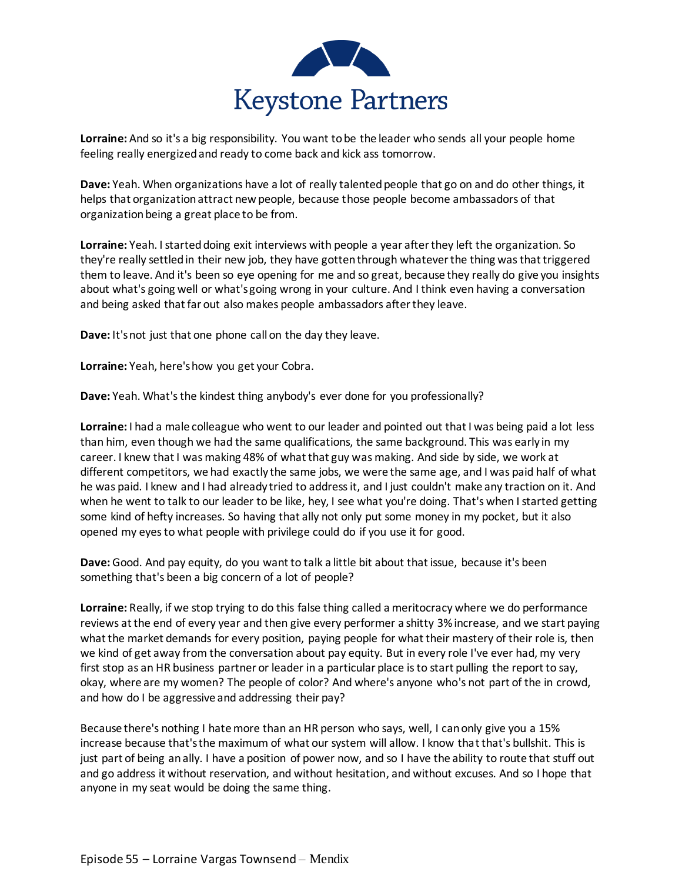

**Lorraine:** And so it's a big responsibility. You want to be the leader who sends all your people home feeling really energized and ready to come back and kick ass tomorrow.

**Dave:** Yeah. When organizations have a lot of really talented people that go on and do other things, it helps that organization attract new people, because those people become ambassadors of that organization being a great place to be from.

**Lorraine:** Yeah. I started doing exit interviews with people a year after they left the organization. So they're really settled in their new job, they have gotten through whatever the thing was that triggered them to leave. And it's been so eye opening for me and so great, because they really do give you insights about what's going well or what's going wrong in your culture. And I think even having a conversation and being asked that far out also makes people ambassadors after they leave.

**Dave:** It's not just that one phone call on the day they leave.

**Lorraine:** Yeah, here's how you get your Cobra.

**Dave:** Yeah. What's the kindest thing anybody's ever done for you professionally?

**Lorraine:** I had a male colleague who went to our leader and pointed out that I was being paid a lot less than him, even though we had the same qualifications, the same background. This was early in my career. I knew that I was making 48% of what that guy was making. And side by side, we work at different competitors, we had exactly the same jobs, we were the same age, and I was paid half of what he was paid. I knew and I had already tried to address it, and I just couldn't make any traction on it. And when he went to talk to our leader to be like, hey, I see what you're doing. That's when I started getting some kind of hefty increases. So having that ally not only put some money in my pocket, but it also opened my eyes to what people with privilege could do if you use it for good.

**Dave:** Good. And pay equity, do you want to talk a little bit about that issue, because it's been something that's been a big concern of a lot of people?

**Lorraine:** Really, if we stop trying to do this false thing called a meritocracy where we do performance reviews at the end of every year and then give every performer a shitty 3% increase, and we start paying what the market demands for every position, paying people for what their mastery of their role is, then we kind of get away from the conversation about pay equity. But in every role I've ever had, my very first stop as an HR business partner or leader in a particular place is to start pulling the report to say, okay, where are my women? The people of color? And where's anyone who's not part of the in crowd, and how do I be aggressive and addressing their pay?

Because there's nothing I hate more than an HR person who says, well, I can only give you a 15% increase because that's the maximum of what our system will allow. I know that that's bullshit. This is just part of being an ally. I have a position of power now, and so I have the ability to route that stuff out and go address it without reservation, and without hesitation, and without excuses. And so I hope that anyone in my seat would be doing the same thing.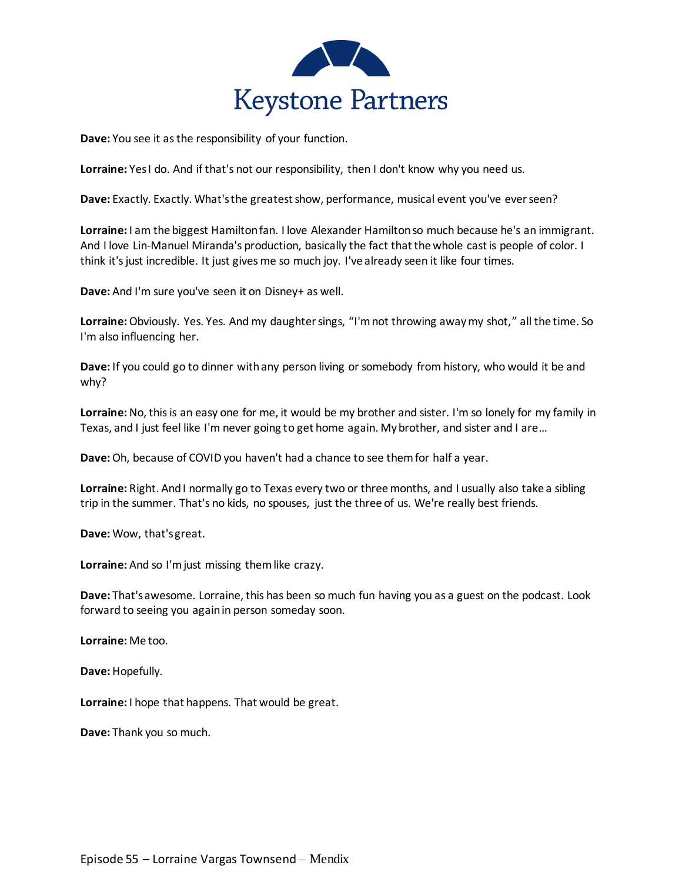

**Dave:** You see it as the responsibility of your function.

**Lorraine:** Yes I do. And if that's not our responsibility, then I don't know why you need us.

**Dave:** Exactly. Exactly. What's the greatest show, performance, musical event you've ever seen?

**Lorraine:** I am the biggest Hamilton fan. I love Alexander Hamilton so much because he's an immigrant. And I love Lin-Manuel Miranda's production, basically the fact that the whole cast is people of color. I think it's just incredible. It just gives me so much joy. I've already seen it like four times.

**Dave:** And I'm sure you've seen it on Disney+ as well.

**Lorraine:**Obviously. Yes. Yes. And my daughter sings, "I'm not throwing away my shot," all the time. So I'm also influencing her.

**Dave:** If you could go to dinner with any person living or somebody from history, who would it be and why?

**Lorraine:** No, this is an easy one for me, it would be my brother and sister. I'm so lonely for my family in Texas, and I just feel like I'm never going to get home again. My brother, and sister and I are…

**Dave:**Oh, because of COVID you haven't had a chance to see them for half a year.

**Lorraine:** Right. And I normally go to Texas every two or three months, and I usually also take a sibling trip in the summer. That's no kids, no spouses, just the three of us. We're really best friends.

**Dave:** Wow, that's great.

**Lorraine:** And so I'm just missing them like crazy.

**Dave:** That's awesome. Lorraine, this has been so much fun having you as a guest on the podcast. Look forward to seeing you again in person someday soon.

**Lorraine:** Me too.

**Dave:** Hopefully.

**Lorraine:** I hope that happens. That would be great.

**Dave:** Thank you so much.